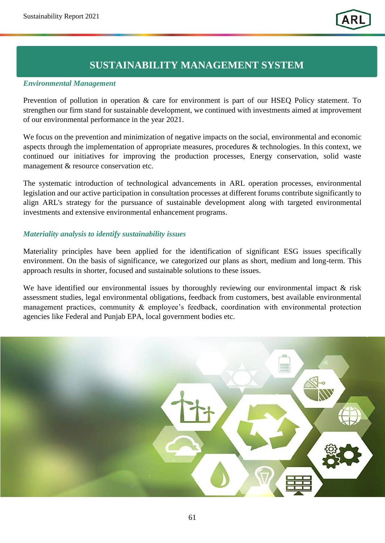# **SUSTAINABILITY MANAGEMENT SYSTEM**

#### *Environmental Management*

Prevention of pollution in operation & care for environment is part of our HSEQ Policy statement. To strengthen our firm stand for sustainable development, we continued with investments aimed at improvement of our environmental performance in the year 2021.

We focus on the prevention and minimization of negative impacts on the social, environmental and economic aspects through the implementation of appropriate measures, procedures & technologies. In this context, we continued our initiatives for improving the production processes, Energy conservation, solid waste management & resource conservation etc.

The systematic introduction of technological advancements in ARL operation processes, environmental legislation and our active participation in consultation processes at different forums contribute significantly to align ARL's strategy for the pursuance of sustainable development along with targeted environmental investments and extensive environmental enhancement programs.

### *Materiality analysis to identify sustainability issues*

Materiality principles have been applied for the identification of significant ESG issues specifically environment. On the basis of significance, we categorized our plans as short, medium and long-term. This approach results in shorter, focused and sustainable solutions to these issues.

We have identified our environmental issues by thoroughly reviewing our environmental impact & risk assessment studies, legal environmental obligations, feedback from customers, best available environmental management practices, community & employee's feedback, coordination with environmental protection agencies like Federal and Punjab EPA, local government bodies etc.